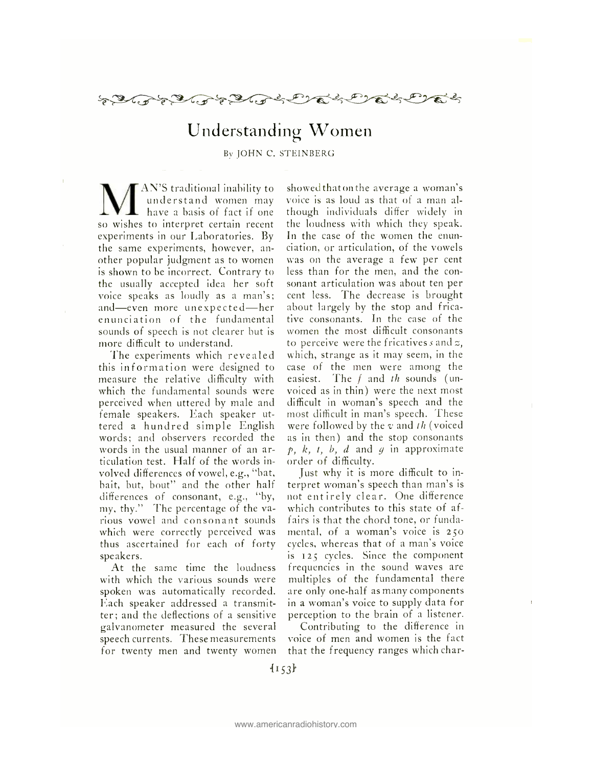

## Understanding Women

By JOHN C. STEINBERG

"AN'S traditional inability to understand women may have a basis of fact if one so wishes to interpret certain recent experiments in our Laboratories. By the same experiments, however, another popular judgment as to women is shown to be incorrect. Contrary to the usually accepted idea her soft voice speaks as loudly as a man's; and—even more unexpected—her enunciation of the fundamental sounds of speech is not clearer but is more difficult to understand.

The experiments which revealed this information were designed to measure the relative difficulty with which the fundamental sounds were perceived when uttered by male and female speakers. Each speaker uttered a hundred simple English words; and observers recorded the words in the usual manner of an articulation test. Half of the words involved differences of vowel, e.g., "bat, bait, but, bout" and the other half differences of consonant, e.g., "by, my, thy." The percentage of the various vowel and consonant sounds which were correctly perceived was thus ascertained for each of forty speakers.

At the same time the loudness with which the various sounds were spoken was automatically recorded. Each speaker addressed a transmitter; and the deflections of a sensitive galvanometer measured the several speech currents. These measurements for twenty men and twenty women showedthatonthe average a woman's voice is as loud as that of a man although individuals differ widely in the loudness with which they speak. In the case of the women the enunciation, or articulation, of the vowels was on the average a few per cent less than for the men, and the consonant articulation was about ten per cent less. The decrease is brought about largely by the stop and fricative consonants. In the case of the women the most difficult consonants to perceive were the fricatives s and  $z$ , which, strange as it may seem, in the case of the men were among the easiest. The  $f$  and  $th$  sounds (unvoiced as in thin) were the next most difficult in woman's speech and the most difficult in man's speech. These were followed by the  $v$  and th (voiced as in then) and the stop consonants  $p, k, t, b, d$  and q in approximate order of difficulty.

Just why it is more difficult to interpret woman's speech than man's is not entirely clear. One difference which contributes to this state of affairs is that the chord tone, or fundamental, of a woman's voice is 25o cycles, whereas that of a man's voice is 125 cycles. Since the component frequencies in the sound waves are multiples of the fundamental there are only one -half as many components in a woman's voice to supply data for perception to the brain of a listener.

Contributing to the difference in voice of men and women is the fact that the frequency ranges which char-

 $\{153\}$